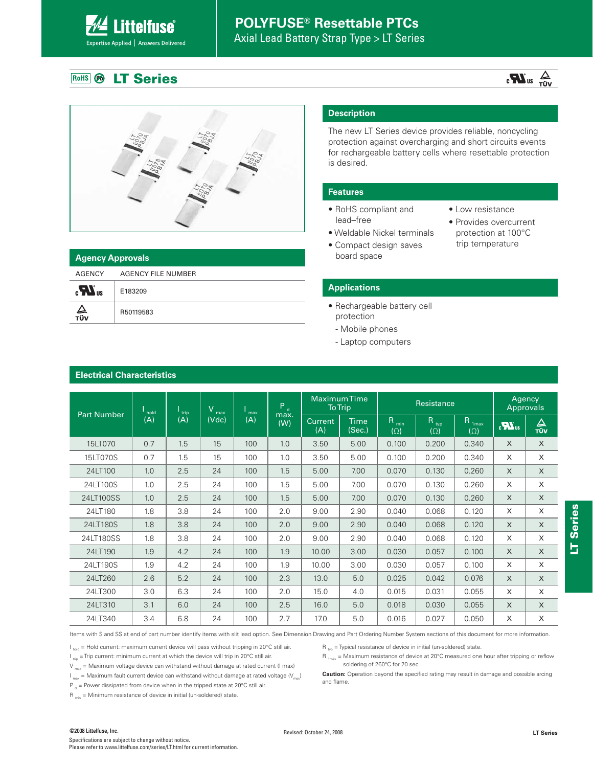# **POLYFUSE® Resettable PTCs**

Axial Lead Battery Strap Type > LT Series

#### **LT Series** RoHS **B**

**Littelfuse**®

Expertise Applied | Answers Delivered

**Electrical Characteristics**





| <b>Agency Approvals</b> |                    |  |  |  |  |
|-------------------------|--------------------|--|--|--|--|
| AGENCY                  | AGENCY FILE NUMBER |  |  |  |  |
| $\mathbf{r}$            | E183209            |  |  |  |  |
| Д<br>τΰν                | R50119583          |  |  |  |  |

## **Description**

The new LT Series device provides reliable, noncycling protection against overcharging and short circuits events for rechargeable battery cells where resettable protection is desired.

#### **Features**

- RoHS compliant and lead–free
- Weldable Nickel terminals
- Compact design saves board space
- Low resistance
- Provides overcurrent protection at 100°C trip temperature

### **Applications**

- Rechargeable battery cell protection
	- Mobile phones
	- Laptop computers

| <b>Part Number</b> | hold | trip | $\mathsf{V}$<br>max | max | $P_d$       | <b>Maximum Time</b><br><b>To Trip</b> |                | Resistance                     |                    |                                 | Agency<br>Approvals |          |
|--------------------|------|------|---------------------|-----|-------------|---------------------------------------|----------------|--------------------------------|--------------------|---------------------------------|---------------------|----------|
|                    | (A)  | (A)  | (Vdc)               | (A) | max.<br>(W) | <b>Current</b><br>(A)                 | Time<br>(Sec.) | R <sub>min</sub><br>$(\Omega)$ | Rtyp<br>$(\Omega)$ | R <sub>1max</sub><br>$(\Omega)$ | $\sum_{\alpha}$     | △<br>TÜV |
| 15LT070            | 0.7  | 1.5  | 15                  | 100 | 1.0         | 3.50                                  | 5.00           | 0.100                          | 0.200              | 0.340                           | X                   | $\times$ |
| 15LT070S           | 0.7  | 1.5  | 15                  | 100 | 1.0         | 3.50                                  | 5.00           | 0.100                          | 0.200              | 0.340                           | X                   | X        |
| 24LT100            | 1.0  | 2.5  | 24                  | 100 | 1.5         | 5.00                                  | 7.00           | 0.070                          | 0.130              | 0.260                           | X                   | $\times$ |
| 24LT100S           | 1.0  | 2.5  | 24                  | 100 | 1.5         | 5.00                                  | 7.00           | 0.070                          | 0.130              | 0.260                           | X                   | X        |
| 24LT100SS          | 1.0  | 2.5  | 24                  | 100 | 1.5         | 5.00                                  | 7.00           | 0.070                          | 0.130              | 0.260                           | X                   | $\times$ |
| 24LT180            | 1.8  | 3.8  | 24                  | 100 | 2.0         | 9.00                                  | 2.90           | 0.040                          | 0.068              | 0.120                           | X                   | X        |
| 24LT180S           | 1.8  | 3.8  | 24                  | 100 | 2.0         | 9.00                                  | 2.90           | 0.040                          | 0.068              | 0.120                           | $\times$            | $\times$ |
| 24LT180SS          | 1.8  | 3.8  | 24                  | 100 | 2.0         | 9.00                                  | 2.90           | 0.040                          | 0.068              | 0.120                           | X                   | X        |
| 24LT190            | 1.9  | 4.2  | 24                  | 100 | 1.9         | 10.00                                 | 3.00           | 0.030                          | 0.057              | 0.100                           | $\times$            | $\times$ |
| 24LT190S           | 1.9  | 4.2  | 24                  | 100 | 1.9         | 10.00                                 | 3.00           | 0.030                          | 0.057              | 0.100                           | X                   | X        |
| 24LT260            | 2.6  | 5.2  | 24                  | 100 | 2.3         | 13.0                                  | 5.0            | 0.025                          | 0.042              | 0.076                           | $\times$            | $\times$ |
| 24LT300            | 3.0  | 6.3  | 24                  | 100 | 2.0         | 15.0                                  | 4.0            | 0.015                          | 0.031              | 0.055                           | X                   | X        |
| 24LT310            | 3.1  | 6.0  | 24                  | 100 | 2.5         | 16.0                                  | 5.0            | 0.018                          | 0.030              | 0.055                           | X                   | X        |
| 24LT340            | 3.4  | 6.8  | 24                  | 100 | 2.7         | 17.0                                  | 5.0            | 0.016                          | 0.027              | 0.050                           | X                   | X        |

Items with S and SS at end of part number identify items with slit lead option. See Dimension Drawing and Part Ordering Number System sections of this document for more information.

 $I_{hold}$  = Hold current: maximum current device will pass without tripping in 20°C still air.

 $I_{\text{triv}}$  = Trip current: minimum current at which the device will trip in 20°C still air.

 $V_{\text{max}}$  = Maximum voltage device can withstand without damage at rated current (I max)

 $I_{\text{max}}$  = Maximum fault current device can withstand without damage at rated voltage  $(V_{\text{max}})$ 

P  $_{\text{d}}$  = Power dissipated from device when in the tripped state at 20°C still air.

 $R_{min}$  = Minimum resistance of device in initial (un-soldered) state.

 $R_{\text{top}}$  = Typical resistance of device in initial (un-soldered) state.

 $R_{1_{max}}$  = Maximum resistance of device at 20°C measured one hour after tripping or reflow soldering of 260°C for 20 sec.

**Caution:** Operation beyond the specified rating may result in damage and possible arcing and flame.

#### ©2008 Littelfuse, Inc. Revised: October 24, 2008

Specifications are subject to change without notice. Please refer to www.littelfuse.com/series/LT.html for current information.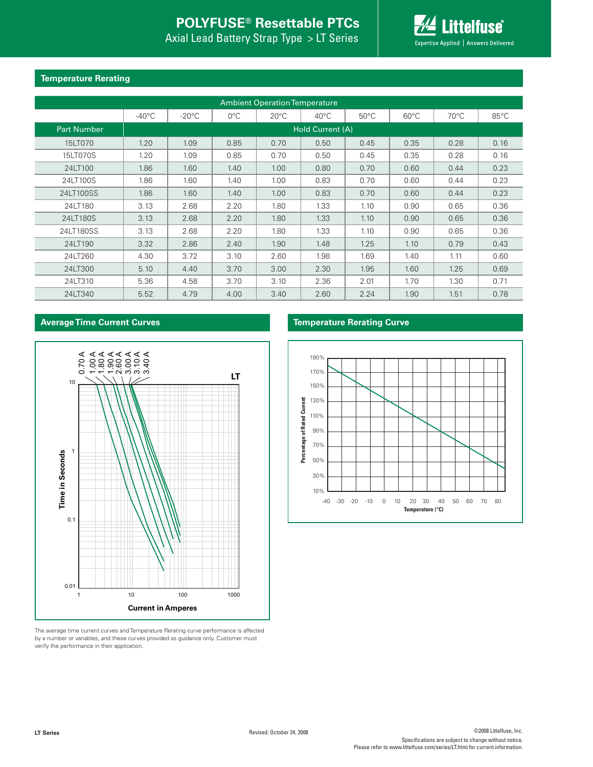# **POLYFUSE® Resettable PTCs**

Axial Lead Battery Strap Type > LT Series



### **Temperature Rerating**

| <b>Ambient Operation Temperature</b> |                  |                 |               |                |                |                |                |                |                |  |
|--------------------------------------|------------------|-----------------|---------------|----------------|----------------|----------------|----------------|----------------|----------------|--|
|                                      | $-40^{\circ}$ C  | $-20^{\circ}$ C | $0^{\circ}$ C | $20^{\circ}$ C | $40^{\circ}$ C | $50^{\circ}$ C | $60^{\circ}$ C | $70^{\circ}$ C | $85^{\circ}$ C |  |
| <b>Part Number</b>                   | Hold Current (A) |                 |               |                |                |                |                |                |                |  |
| 15LT070                              | 1.20             | 1.09            | 0.85          | 0.70           | 0.50           | 0.45           | 0.35           | 0.28           | 0.16           |  |
| 15LT070S                             | 1.20             | 1.09            | 0.85          | 0.70           | 0.50           | 0.45           | 0.35           | 0.28           | 0.16           |  |
| 24LT100                              | 1.86             | 1.60            | 1.40          | 1.00           | 0.80           | 0.70           | 0.60           | 0.44           | 0.23           |  |
| 24LT100S                             | 1.86             | 1.60            | 1.40          | 1.00           | 0.83           | 0.70           | 0.60           | 0.44           | 0.23           |  |
| 24LT100SS                            | 1.86             | 1.60            | 1.40          | 1.00           | 0.83           | 0.70           | 0.60           | 0.44           | 0.23           |  |
| 24LT180                              | 3.13             | 2.68            | 2.20          | 1.80           | 1.33           | 1.10           | 0.90           | 0.65           | 0.36           |  |
| 24LT180S                             | 3.13             | 2.68            | 2.20          | 1.80           | 1.33           | 1.10           | 0.90           | 0.65           | 0.36           |  |
| 24LT180SS                            | 3.13             | 2.68            | 2.20          | 1.80           | 1.33           | 1.10           | 0.90           | 0.65           | 0.36           |  |
| 24LT190                              | 3.32             | 2.86            | 2.40          | 1.90           | 1.48           | 1.25           | 1.10           | 0.79           | 0.43           |  |
| 24LT260                              | 4.30             | 3.72            | 3.10          | 2.60           | 1.98           | 1.69           | 1.40           | 1.11           | 0.60           |  |
| 24LT300                              | 5.10             | 4.40            | 3.70          | 3.00           | 2.30           | 1.95           | 1.60           | 1.25           | 0.69           |  |
| 24LT310                              | 5.36             | 4.58            | 3.70          | 3.10           | 2.36           | 2.01           | 1.70           | 1.30           | 0.71           |  |
| 24LT340                              | 5.52             | 4.79            | 4.00          | 3.40           | 2.60           | 2.24           | 1.90           | 1.51           | 0.78           |  |

### **Average Time Current Curves**



The average time current curves and Temperature Rerating curve performance is affected by a number or variables, and these curves provided as guidance only. Customer must verify the performance in their application.

### **Temperature Rerating Curve**

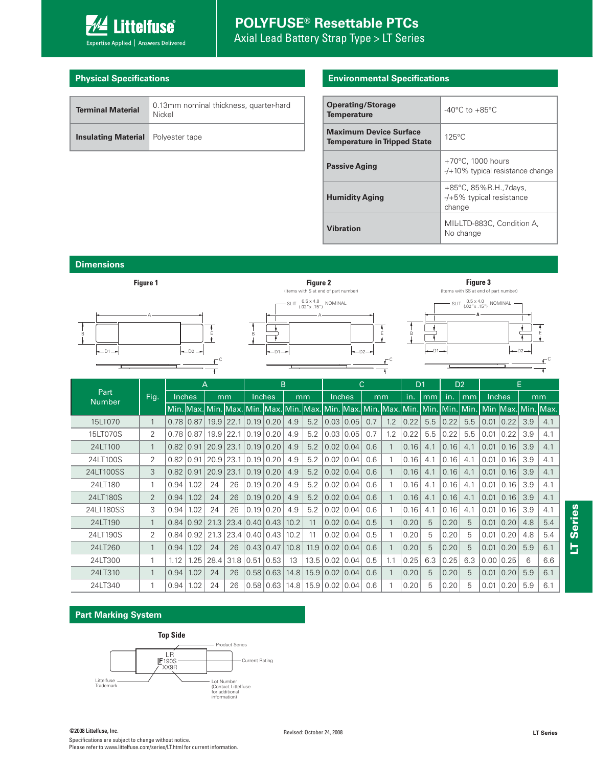

### **Physical Specifications**

| <b>Terminal Material</b>                    | 0.13mm nominal thickness, quarter-hard<br>Nickel |
|---------------------------------------------|--------------------------------------------------|
| <b>Insulating Material</b>   Polyester tape |                                                  |

#### **Environmental Specifications**

| <b>Operating/Storage</b><br><b>Temperature</b>                       | $-40^{\circ}$ C to $+85^{\circ}$ C                                 |
|----------------------------------------------------------------------|--------------------------------------------------------------------|
| <b>Maximum Device Surface</b><br><b>Temperature in Tripped State</b> | $125^{\circ}$ C                                                    |
| <b>Passive Aging</b>                                                 | $+70^{\circ}$ C, 1000 hours<br>$-$ /+10% typical resistance change |
| <b>Humidity Aging</b>                                                | +85°C, 85%R.H.,7days,<br>$-$ /+5% typical resistance<br>change     |
| <b>Vibration</b>                                                     | MIL-LTD-883C. Condition A.<br>No change                            |

**Dimensions**



#### **Part Marking System**



Specifications are subject to change without notice. Please refer to www.littelfuse.com/series/LT.html for current information.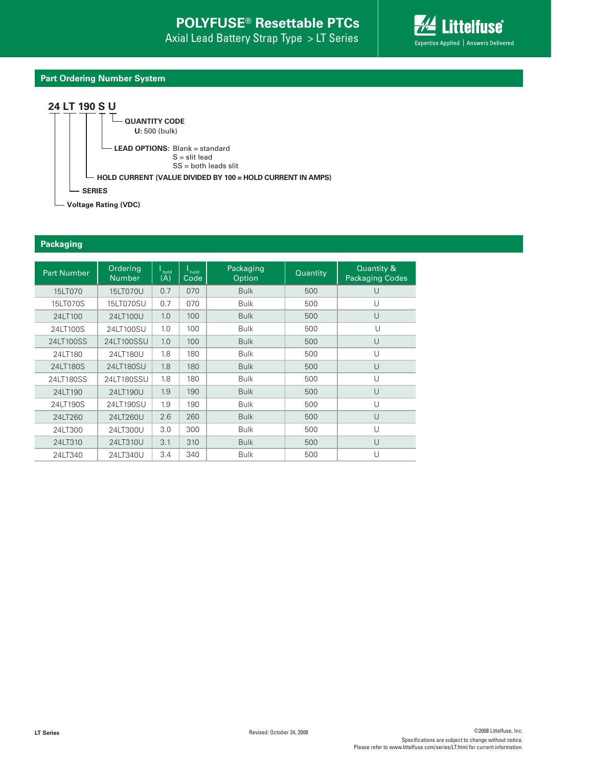

## **Part Ordering Number System**





**Voltage Rating (VDC)**

#### **Packaging**

| <b>Part Number</b> | Ordering<br><b>Number</b> | hold<br>(A) | $\mathsf{I}_{\mathsf{hold}}$<br>Code | Packaging<br>Option | Quantity | Quantity &<br><b>Packaging Codes</b> |
|--------------------|---------------------------|-------------|--------------------------------------|---------------------|----------|--------------------------------------|
| 15LT070            | 15LT070U                  | 0.7         | 070                                  | <b>Bulk</b>         | 500      | U                                    |
| 15LT070S           | 15LT070SU                 | 0.7         | 070                                  | <b>Bulk</b>         | 500      | $\cup$                               |
| 24LT100            | 24LT100U                  | 1.0         | 100                                  | <b>Bulk</b>         | 500      | U                                    |
| 24LT100S           | 24LT100SU                 | 1.0         | 100                                  | <b>Bulk</b>         | 500      | U                                    |
| 24LT100SS          | 24LT100SSU                | 1.0         | 100                                  | <b>Bulk</b>         | 500      | $\cup$                               |
| 24LT180            | 24LT180U                  | 1.8         | 180                                  | <b>Bulk</b>         | 500      | U                                    |
| 24LT180S           | 24LT180SU                 | 1.8         | 180                                  | <b>Bulk</b>         | 500      | $\cup$                               |
| 24LT180SS          | 24LT180SSU                | 1.8         | 180                                  | <b>Bulk</b>         | 500      | $\cup$                               |
| 24LT190            | 24LT190U                  | 1.9         | 190                                  | <b>Bulk</b>         | 500      | $\cup$                               |
| 24LT190S           | 24LT190SU                 | 1.9         | 190                                  | <b>Bulk</b>         | 500      | U                                    |
| 24LT260            | 24LT260U                  | 2.6         | 260                                  | <b>Bulk</b>         | 500      | $\cup$                               |
| 24LT300            | 24LT300U                  | 3.0         | 300                                  | <b>Bulk</b>         | 500      | $\cup$                               |
| 24LT310            | 24LT310U                  | 3.1         | 310                                  | <b>Bulk</b>         | 500      | U                                    |
| 24LT340            | 24LT340U                  | 3.4         | 340                                  | <b>Bulk</b>         | 500      | $\cup$                               |